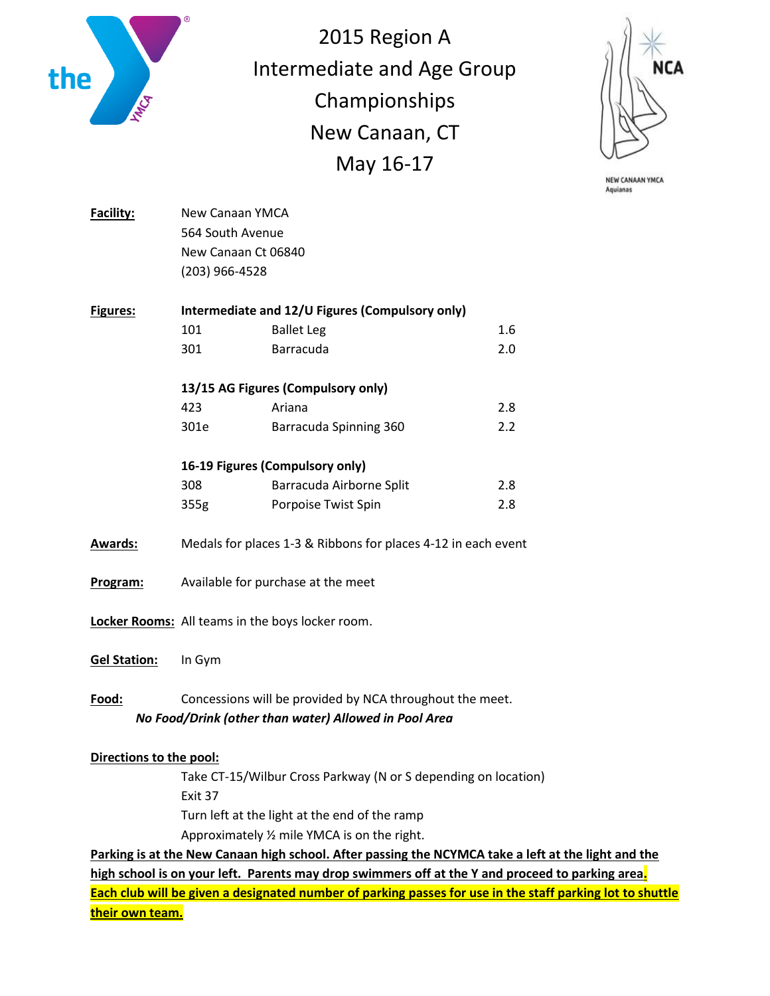

2015 Region A Intermediate and Age Group Championships New Canaan, CT May 16-17



NEW CANAAN YMCA Aquianas

| Facility:               | New Canaan YMCA                                                |                                                                                  |     |
|-------------------------|----------------------------------------------------------------|----------------------------------------------------------------------------------|-----|
|                         | 564 South Avenue                                               |                                                                                  |     |
|                         | New Canaan Ct 06840                                            |                                                                                  |     |
|                         | (203) 966-4528                                                 |                                                                                  |     |
| Figures:                | Intermediate and 12/U Figures (Compulsory only)                |                                                                                  |     |
|                         | 101                                                            | <b>Ballet Leg</b>                                                                | 1.6 |
|                         | 301                                                            | Barracuda                                                                        | 2.0 |
|                         | 13/15 AG Figures (Compulsory only)                             |                                                                                  |     |
|                         | 423                                                            | Ariana                                                                           | 2.8 |
|                         | 301e                                                           | Barracuda Spinning 360                                                           | 2.2 |
|                         | 16-19 Figures (Compulsory only)                                |                                                                                  |     |
|                         | 308                                                            | Barracuda Airborne Split                                                         | 2.8 |
|                         | 355g                                                           | Porpoise Twist Spin                                                              | 2.8 |
| <b>Awards:</b>          | Medals for places 1-3 & Ribbons for places 4-12 in each event  |                                                                                  |     |
| Program:                | Available for purchase at the meet                             |                                                                                  |     |
|                         | Locker Rooms: All teams in the boys locker room.               |                                                                                  |     |
| <b>Gel Station:</b>     | In Gym                                                         |                                                                                  |     |
| Food:                   | Concessions will be provided by NCA throughout the meet.       |                                                                                  |     |
|                         |                                                                | No Food/Drink (other than water) Allowed in Pool Area                            |     |
| Directions to the pool: |                                                                |                                                                                  |     |
|                         | Take CT-15/Wilbur Cross Parkway (N or S depending on location) |                                                                                  |     |
|                         | Exit 37                                                        |                                                                                  |     |
|                         | Turn left at the light at the end of the ramp                  |                                                                                  |     |
|                         |                                                                | Approximately 1/2 mile YMCA is on the right.                                     |     |
|                         |                                                                | Parking is at the New Canaan high school. After passing the NCYMCA take a left a |     |

**<u>At the light and the</u> high school is on your left. Parents may drop swimmers off at the Y and proceed to parking area. Each club will be given a designated number of parking passes for use in the staff parking lot to shuttle their own team.**